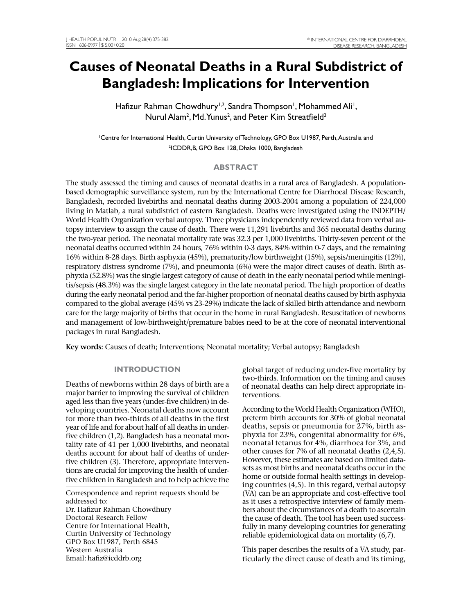# **Causes of Neonatal Deaths in a Rural Subdistrict of Bangladesh: Implications for Intervention**

Hafizur Rahman Chowdhury<sup>1,2</sup>, Sandra Thompson<sup>1</sup>, Mohammed Ali<sup>1</sup>, Nurul Alam<sup>2</sup>, Md. Yunus<sup>2</sup>, and Peter Kim Streatfield<sup>2</sup>

1 Centre for International Health, Curtin University of Technology, GPO Box U1987, Perth, Australia and 2 ICDDR,B, GPO Box 128, Dhaka 1000, Bangladesh

## **ABSTRACT**

The study assessed the timing and causes of neonatal deaths in a rural area of Bangladesh. A populationbased demographic surveillance system, run by the International Centre for Diarrhoeal Disease Research, Bangladesh, recorded livebirths and neonatal deaths during 2003-2004 among a population of 224,000 living in Matlab, a rural subdistrict of eastern Bangladesh. Deaths were investigated using the INDEPTH/ World Health Organization verbal autopsy. Three physicians independently reviewed data from verbal autopsy interview to assign the cause of death. There were 11,291 livebirths and 365 neonatal deaths during the two-year period. The neonatal mortality rate was 32.3 per 1,000 livebirths. Thirty-seven percent of the neonatal deaths occurred within 24 hours, 76% within 0-3 days, 84% within 0-7 days, and the remaining 16% within 8-28 days. Birth asphyxia (45%), prematurity/low birthweight (15%), sepsis/meningitis (12%), respiratory distress syndrome (7%), and pneumonia (6%) were the major direct causes of death. Birth asphyxia (52.8%) was the single largest category of cause of death in the early neonatal period while meningitis/sepsis (48.3%) was the single largest category in the late neonatal period. The high proportion of deaths during the early neonatal period and the far-higher proportion of neonatal deaths caused by birth asphyxia compared to the global average (45% vs 23-29%) indicate the lack of skilled birth attendance and newborn care for the large majority of births that occur in the home in rural Bangladesh. Resuscitation of newborns and management of low-birthweight/premature babies need to be at the core of neonatal interventional packages in rural Bangladesh.

**Key words:** Causes of death; Interventions; Neonatal mortality; Verbal autopsy; Bangladesh

# **INTRODUCTION**

Deaths of newborns within 28 days of birth are a major barrier to improving the survival of children aged less than five years (under-five children) in developing countries. Neonatal deaths now account for more than two-thirds of all deaths in the first year of life and for about half of all deaths in underfive children (1,2). Bangladesh has a neonatal mortality rate of 41 per 1,000 livebirths, and neonatal deaths account for about half of deaths of underfive children (3). Therefore, appropriate interventions are crucial for improving the health of underfive children in Bangladesh and to help achieve the

Correspondence and reprint requests should be addressed to: Dr. Hafizur Rahman Chowdhury Doctoral Research Fellow Centre for International Health, Curtin University of Technology GPO Box U1987, Perth 6845 Western Australia Email: hafiz@icddrb.org

global target of reducing under-five mortality by two-thirds. Information on the timing and causes of neonatal deaths can help direct appropriate interventions.

According to the World Health Organization (WHO), preterm birth accounts for 30% of global neonatal deaths, sepsis or pneumonia for 27%, birth asphyxia for 23%, congenital abnormality for 6%, neonatal tetanus for 4%, diarrhoea for 3%, and other causes for 7% of all neonatal deaths (2,4,5). However, these estimates are based on limited datasets as most births and neonatal deaths occur in the home or outside formal health settings in developing countries (4,5). In this regard, verbal autopsy (VA) can be an appropriate and cost-effective tool as it uses a retrospective interview of family members about the circumstances of a death to ascertain the cause of death. The tool has been used successfully in many developing countries for generating reliable epidemiological data on mortality (6,7).

This paper describes the results of a VA study, particularly the direct cause of death and its timing,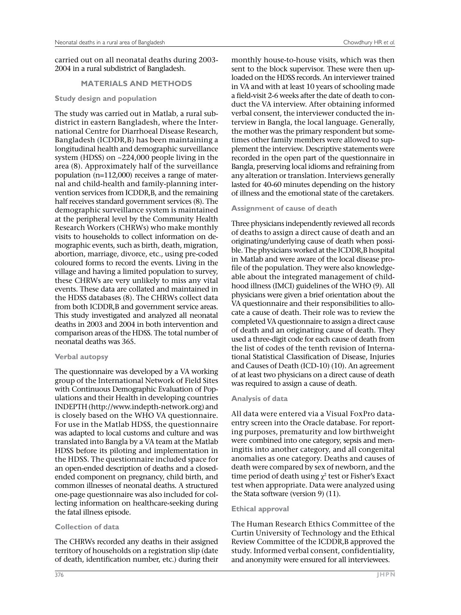carried out on all neonatal deaths during 2003- 2004 in a rural subdistrict of Bangladesh.

# **MATERIALS AND METHODS**

**Study design and population**

The study was carried out in Matlab, a rural subdistrict in eastern Bangladesh, where the International Centre for Diarrhoeal Disease Research, Bangladesh (ICDDR,B) has been maintaining a longitudinal health and demographic surveillance system (HDSS) on ~224,000 people living in the area (8). Approximately half of the surveillance population (n=112,000) receives a range of maternal and child-health and family-planning intervention services from ICDDR,B, and the remaining half receives standard government services (8). The demographic surveillance system is maintained at the peripheral level by the Community Health Research Workers (CHRWs) who make monthly visits to households to collect information on demographic events, such as birth, death, migration, abortion, marriage, divorce, etc., using pre-coded coloured forms to record the events. Living in the village and having a limited population to survey, these CHRWs are very unlikely to miss any vital events. These data are collated and maintained in the HDSS databases (8). The CHRWs collect data from both ICDDR,B and government service areas. This study investigated and analyzed all neonatal deaths in 2003 and 2004 in both intervention and comparison areas of the HDSS. The total number of neonatal deaths was 365.

# **Verbal autopsy**

The questionnaire was developed by a VA working group of the International Network of Field Sites with Continuous Demographic Evaluation of Populations and their Health in developing countries INDEPTH (http://www.indepth-network.org) and is closely based on the WHO VA questionnaire. For use in the Matlab HDSS, the questionnaire was adapted to local customs and culture and was translated into Bangla by a VA team at the Matlab HDSS before its piloting and implementation in the HDSS. The questionnaire included space for an open-ended description of deaths and a closedended component on pregnancy, child birth, and common illnesses of neonatal deaths. A structured one-page questionnaire was also included for collecting information on healthcare-seeking during the fatal illness episode.

# **Collection of data**

The CHRWs recorded any deaths in their assigned territory of households on a registration slip (date of death, identification number, etc.) during their

monthly house-to-house visits, which was then sent to the block supervisor. These were then uploaded on the HDSS records. An interviewer trained in VA and with at least 10 years of schooling made a field-visit 2-6 weeks after the date of death to conduct the VA interview. After obtaining informed verbal consent, the interviewer conducted the interview in Bangla, the local language. Generally, the mother was the primary respondent but sometimes other family members were allowed to supplement the interview. Descriptive statements were recorded in the open part of the questionnaire in Bangla, preserving local idioms and refraining from any alteration or translation. Interviews generally lasted for 40-60 minutes depending on the history of illness and the emotional state of the caretakers.

#### **Assignment of cause of death**

Three physicians independently reviewed all records of deaths to assign a direct cause of death and an originating/underlying cause of death when possible. The physicians worked at the ICDDR,B hospital in Matlab and were aware of the local disease profile of the population. They were also knowledgeable about the integrated management of childhood illness (IMCI) guidelines of the WHO (9). All physicians were given a brief orientation about the VA questionnaire and their responsibilities to allocate a cause of death. Their role was to review the completed VA questionnaire to assign a direct cause of death and an originating cause of death. They used a three-digit code for each cause of death from the list of codes of the tenth revision of International Statistical Classification of Disease, Injuries and Causes of Death (ICD-10) (10). An agreement of at least two physicians on a direct cause of death was required to assign a cause of death.

# **Analysis of data**

All data were entered via a Visual FoxPro dataentry screen into the Oracle database. For reporting purposes, prematurity and low birthweight were combined into one category, sepsis and meningitis into another category, and all congenital anomalies as one category. Deaths and causes of death were compared by sex of newborn, and the time period of death using  $\chi^2$  test or Fisher's Exact test when appropriate. Data were analyzed using the Stata software (version 9) (11).

# **Ethical approval**

The Human Research Ethics Committee of the Curtin University of Technology and the Ethical Review Committee of the ICDDR,B approved the study. Informed verbal consent, confidentiality, and anonymity were ensured for all interviewees.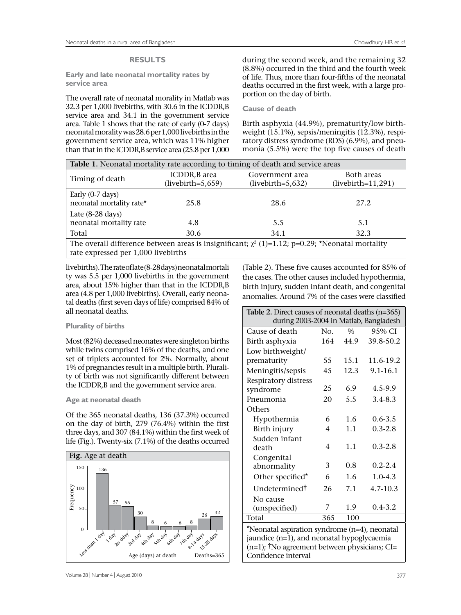#### **RESULTS**

**Early and late neonatal mortality rates by service area**

The overall rate of neonatal morality in Matlab was 32.3 per 1,000 livebirths, with 30.6 in the ICDDR,B service area and 34.1 in the government service area. Table 1 shows that the rate of early (0-7 days) neonatal morality was 28.6 per 1,000 livebirths in the government service area, which was 11% higher than that in the ICDDR,B service area (25.8 per 1,000

during the second week, and the remaining 32 (8.8%) occurred in the third and the fourth week of life. Thus, more than four-fifths of the neonatal deaths occurred in the first week, with a large proportion on the day of birth.

#### **Cause of death**

Birth asphyxia (44.9%), prematurity/low birthweight (15.1%), sepsis/meningitis (12.3%), respiratory distress syndrome (RDS) (6.9%), and pneumonia (5.5%) were the top five causes of death

| Table 1. Neonatal mortality rate according to timing of death and service areas                                                              |                                      |                                        |                                    |  |  |  |
|----------------------------------------------------------------------------------------------------------------------------------------------|--------------------------------------|----------------------------------------|------------------------------------|--|--|--|
| Timing of death                                                                                                                              | ICDDR, B area<br>$(livebirth=5,659)$ | Government area<br>$(livebirth=5,632)$ | Both areas<br>$(livebirth=11,291)$ |  |  |  |
| Early $(0-7 \text{ days})$<br>neonatal mortality rate*                                                                                       | 25.8                                 | 28.6                                   | 27.2                               |  |  |  |
| Late $(8-28 \text{ days})$<br>neonatal mortality rate                                                                                        | 4.8                                  | 5.5                                    | 5.1                                |  |  |  |
| Total                                                                                                                                        | 30.6                                 | 34.1                                   | 32.3                               |  |  |  |
| The overall difference between areas is insignificant; $\chi^2$ (1)=1.12; p=0.29; *Neonatal mortality<br>rate expressed per 1,000 livebirths |                                      |                                        |                                    |  |  |  |

livebirths). The rate of late (8-28 days) neonatal mortali ty was 5.5 per 1,000 livebirths in the government area, about 15% higher than that in the ICDDR,B area (4.8 per 1,000 livebirths). Overall, early neonatal deaths (first seven days of life) comprised 84% of all neonatal deaths.

#### **Plurality of births**

Most (82%) deceased neonates were singleton births while twins comprised 16% of the deaths, and one set of triplets accounted for 2%. Normally, about 1% of pregnancies result in a multiple birth. Plurality of birth was not significantly different between the ICDDR,B and the government service area.

#### **Age at neonatal death**

Of the 365 neonatal deaths, 136 (37.3%) occurred on the day of birth, 279 (76.4%) within the first three days, and 307 (84.1%) within the first week of life (Fig.). Twenty-six (7.1%) of the deaths occurred



the cases. The other causes included hypothermia, birth injury, sudden infant death, and congenital anomalies. Around 7% of the cases were classified **Table 2.** Direct causes of neonatal deaths (n=365) during 2003-2004 in Matlab, Bangladesh Cause of death No. % 95% CI

(Table 2). These five causes accounted for 85% of

| Cause of death                                              | No.            | $\frac{0}{0}$ | 95% CI      |  |  |  |
|-------------------------------------------------------------|----------------|---------------|-------------|--|--|--|
| Birth asphyxia                                              | 164            | 44.9          | 39.8-50.2   |  |  |  |
| Low birthweight/                                            |                |               |             |  |  |  |
| prematurity                                                 | 55             | 15.1          | 11.6-19.2   |  |  |  |
| Meningitis/sepsis                                           | 45             | 12.3          | 9.1-16.1    |  |  |  |
| Respiratory distress                                        |                |               |             |  |  |  |
| syndrome                                                    | 25             | 6.9           | 4.5-9.9     |  |  |  |
| Pneumonia                                                   | 20             | 5.5           | $3.4 - 8.3$ |  |  |  |
| Others                                                      |                |               |             |  |  |  |
| Hypothermia                                                 | 6              | 1.6           | $0.6 - 3.5$ |  |  |  |
| Birth injury                                                | 4              | 1.1           | $0.3 - 2.8$ |  |  |  |
| Sudden infant                                               |                |               |             |  |  |  |
| death                                                       | $\overline{4}$ | 1.1           | $0.3 - 2.8$ |  |  |  |
| Congenital                                                  |                |               |             |  |  |  |
| abnormality                                                 | 3              | 0.8           | $0.2 - 2.4$ |  |  |  |
| Other specified*                                            | 6              | 1.6           | $1.0 - 4.3$ |  |  |  |
| Undetermined <sup>†</sup>                                   | 26             | 7.1           | 4.7-10.3    |  |  |  |
| No cause                                                    |                |               |             |  |  |  |
| (unspecified)                                               | 7              | 1.9           | $0.4 - 3.2$ |  |  |  |
| Total                                                       | 365            | 100           |             |  |  |  |
| *Neonatal aspiration syndrome (n=4), neonatal               |                |               |             |  |  |  |
| jaundice (n=1), and neonatal hypoglycaemia                  |                |               |             |  |  |  |
| $(n=1)$ ; <sup>†</sup> No agreement between physicians; CI= |                |               |             |  |  |  |

Confidence interval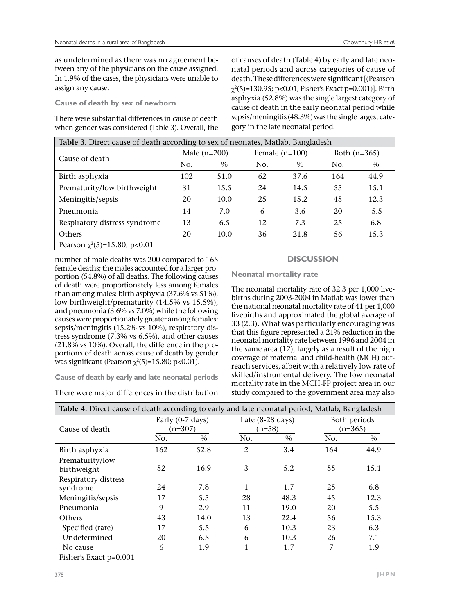as undetermined as there was no agreement between any of the physicians on the cause assigned. In 1.9% of the cases, the physicians were unable to assign any cause.

#### **Cause of death by sex of newborn**

There were substantial differences in cause of death when gender was considered (Table 3). Overall, the

of causes of death (Table 4) by early and late neonatal periods and across categories of cause of death. These differences were significant [(Pearson  $\chi^2(5)=130.95;$  p<0.01; Fisher's Exact p=0.001)]. Birth asphyxia (52.8%) was the single largest category of cause of death in the early neonatal period while sepsis/meningitis (48.3%) was the single largest category in the late neonatal period.

| Table 3. Direct cause of death according to sex of neonates, Matlab, Bangladesh |                |      |                  |      |                |      |
|---------------------------------------------------------------------------------|----------------|------|------------------|------|----------------|------|
| Cause of death                                                                  | Male $(n=200)$ |      | Female $(n=100)$ |      | Both $(n=365)$ |      |
|                                                                                 | No.            | $\%$ | No.              | $\%$ | No.            | $\%$ |
| Birth asphyxia                                                                  | 102            | 51.0 | 62               | 37.6 | 164            | 44.9 |
| Prematurity/low birthweight                                                     | 31             | 15.5 | 24               | 14.5 | 55             | 15.1 |
| Meningitis/sepsis                                                               | 20             | 10.0 | 25               | 15.2 | 45             | 12.3 |
| Pneumonia                                                                       | 14             | 7.0  | 6                | 3.6  | 20             | 5.5  |
| Respiratory distress syndrome                                                   | 13             | 6.5  | 12               | 7.3  | 25             | 6.8  |
| Others                                                                          | 20             | 10.0 | 36               | 21.8 | 56             | 15.3 |
| Pearson $\chi^2(5)=15.80$ ; p<0.01                                              |                |      |                  |      |                |      |

number of male deaths was 200 compared to 165 female deaths; the males accounted for a larger proportion (54.8%) of all deaths. The following causes of death were proportionately less among females than among males: birth asphyxia (37.6% vs 51%), low birthweight/prematurity (14.5% vs 15.5%), and pneumonia (3.6% vs 7.0%) while the following causes were proportionately greater among females: sepsis/meningitis (15.2% vs 10%), respiratory distress syndrome (7.3% vs 6.5%), and other causes (21.8% vs 10%). Overall, the difference in the proportions of death across cause of death by gender was significant (Pearson  $\chi^2(5)=15.80$ ; p<0.01).

**Cause of death by early and late neonatal periods** 

|  |  | There were major differences in the distribution |
|--|--|--------------------------------------------------|
|  |  |                                                  |

# **DISCUSSION**

**Neonatal mortality rate** 

The neonatal mortality rate of 32.3 per 1,000 livebirths during 2003-2004 in Matlab was lower than the national neonatal mortality rate of 41 per 1,000 livebirths and approximated the global average of 33 (2,3). What was particularly encouraging was that this figure represented a 21% reduction in the neonatal mortality rate between 1996 and 2004 in the same area (12), largely as a result of the high coverage of maternal and child-health (MCH) outreach services, albeit with a relatively low rate of skilled/instrumental delivery. The low neonatal mortality rate in the MCH-FP project area in our study compared to the government area may also

| Table 4. Direct cause of death according to early and late neonatal period, Matlab, Bangladesh |                                         |      |     |                                        |                           |      |  |
|------------------------------------------------------------------------------------------------|-----------------------------------------|------|-----|----------------------------------------|---------------------------|------|--|
| Cause of death                                                                                 | Early $(0-7 \text{ days})$<br>$(n=307)$ |      |     | Late $(8-28 \text{ days})$<br>$(n=58)$ | Both periods<br>$(n=365)$ |      |  |
|                                                                                                | No.                                     | $\%$ | No. | $\%$                                   | No.                       | $\%$ |  |
| Birth asphyxia                                                                                 | 162                                     | 52.8 | 2   | 3.4                                    | 164                       | 44.9 |  |
| Prematurity/low<br>birthweight                                                                 | 52                                      | 16.9 | 3   | 5.2                                    | 55                        | 15.1 |  |
| Respiratory distress<br>syndrome                                                               | 24                                      | 7.8  | 1   | 1.7                                    | 25                        | 6.8  |  |
| Meningitis/sepsis                                                                              | 17                                      | 5.5  | 28  | 48.3                                   | 45                        | 12.3 |  |
| Pneumonia                                                                                      | 9                                       | 2.9  | 11  | 19.0                                   | 20                        | 5.5  |  |
| <b>Others</b>                                                                                  | 43                                      | 14.0 | 13  | 22.4                                   | 56                        | 15.3 |  |
| Specified (rare)                                                                               | 17                                      | 5.5  | 6   | 10.3                                   | 23                        | 6.3  |  |
| Undetermined                                                                                   | 20                                      | 6.5  | 6   | 10.3                                   | 26                        | 7.1  |  |
| No cause                                                                                       | 6                                       | 1.9  | 1   | 1.7                                    | 7                         | 1.9  |  |
| Fisher's Exact p=0.001                                                                         |                                         |      |     |                                        |                           |      |  |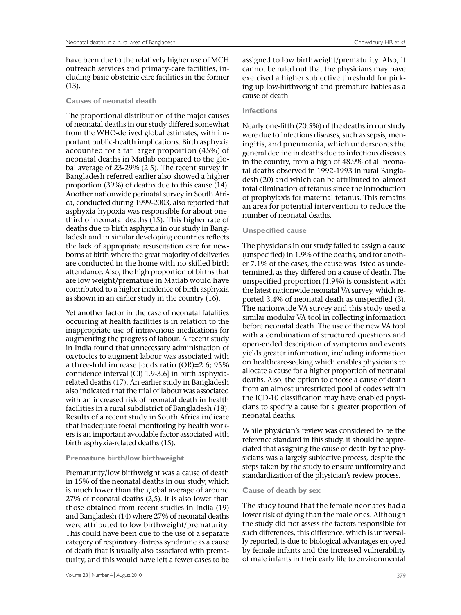have been due to the relatively higher use of MCH outreach services and primary-care facilities, including basic obstetric care facilities in the former (13).

#### **Causes of neonatal death**

The proportional distribution of the major causes of neonatal deaths in our study differed somewhat from the WHO-derived global estimates, with important public-health implications. Birth asphyxia accounted for a far larger proportion (45%) of neonatal deaths in Matlab compared to the global average of 23-29% (2,5). The recent survey in Bangladesh referred earlier also showed a higher proportion (39%) of deaths due to this cause (14). Another nationwide perinatal survey in South Africa, conducted during 1999-2003, also reported that asphyxia-hypoxia was responsible for about onethird of neonatal deaths (15). This higher rate of deaths due to birth asphyxia in our study in Bangladesh and in similar developing countries reflects the lack of appropriate resuscitation care for newborns at birth where the great majority of deliveries are conducted in the home with no skilled birth attendance. Also, the high proportion of births that are low weight/premature in Matlab would have contributed to a higher incidence of birth asphyxia as shown in an earlier study in the country (16).

Yet another factor in the case of neonatal fatalities occurring at health facilities is in relation to the inappropriate use of intravenous medications for augmenting the progress of labour. A recent study in India found that unnecessary administration of oxytocics to augment labour was associated with a three-fold increase [odds ratio (OR)=2.6; 95% confidence interval (CI) 1.9-3.6] in birth asphyxiarelated deaths (17). An earlier study in Bangladesh also indicated that the trial of labour was associated with an increased risk of neonatal death in health facilities in a rural subdistrict of Bangladesh (18). Results of a recent study in South Africa indicate that inadequate foetal monitoring by health workers is an important avoidable factor associated with birth asphyxia-related deaths (15).

#### **Premature birth/low birthweight**

Prematurity/low birthweight was a cause of death in 15% of the neonatal deaths in our study, which is much lower than the global average of around 27% of neonatal deaths (2,5). It is also lower than those obtained from recent studies in India (19) and Bangladesh (14) where 27% of neonatal deaths were attributed to low birthweight/prematurity. This could have been due to the use of a separate category of respiratory distress syndrome as a cause of death that is usually also associated with prematurity, and this would have left a fewer cases to be

assigned to low birthweight/prematurity. Also, it cannot be ruled out that the physicians may have exercised a higher subjective threshold for picking up low-birthweight and premature babies as a cause of death

#### **Infections**

Nearly one-fifth (20.5%) of the deaths in our study were due to infectious diseases, such as sepsis, meningitis, and pneumonia, which underscores the general decline in deaths due to infectious diseases in the country, from a high of 48.9% of all neonatal deaths observed in 1992-1993 in rural Bangladesh (20) and which can be attributed to almost total elimination of tetanus since the introduction of prophylaxis for maternal tetanus. This remains an area for potential intervention to reduce the number of neonatal deaths.

#### **Unspecified cause**

The physicians in our study failed to assign a cause (unspecified) in 1.9% of the deaths, and for another 7.1% of the cases, the cause was listed as undetermined, as they differed on a cause of death. The unspecified proportion (1.9%) is consistent with the latest nationwide neonatal VA survey, which reported 3.4% of neonatal death as unspecified (3). The nationwide VA survey and this study used a similar modular VA tool in collecting information before neonatal death. The use of the new VA tool with a combination of structured questions and open-ended description of symptoms and events yields greater information, including information on healthcare-seeking which enables physicians to allocate a cause for a higher proportion of neonatal deaths. Also, the option to choose a cause of death from an almost unrestricted pool of codes within the ICD-10 classification may have enabled physicians to specify a cause for a greater proportion of neonatal deaths.

While physician's review was considered to be the reference standard in this study, it should be appreciated that assigning the cause of death by the physicians was a largely subjective process, despite the steps taken by the study to ensure uniformity and standardization of the physician's review process.

#### **Cause of death by sex**

The study found that the female neonates had a lower risk of dying than the male ones. Although the study did not assess the factors responsible for such differences, this difference, which is universally reported, is due to biological advantages enjoyed by female infants and the increased vulnerability of male infants in their early life to environmental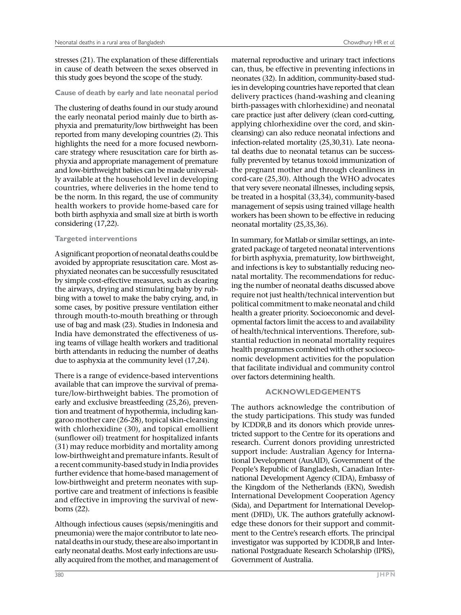stresses (21). The explanation of these differentials in cause of death between the sexes observed in this study goes beyond the scope of the study.

# **Cause of death by early and late neonatal period**

The clustering of deaths found in our study around the early neonatal period mainly due to birth asphyxia and prematurity/low birthweight has been reported from many developing countries (2). This highlights the need for a more focused newborncare strategy where resuscitation care for birth asphyxia and appropriate management of premature and low-birthweight babies can be made universally available at the household level in developing countries, where deliveries in the home tend to be the norm. In this regard, the use of community health workers to provide home-based care for both birth asphyxia and small size at birth is worth considering (17,22).

## **Targeted interventions**

A significant proportion of neonatal deaths could be avoided by appropriate resuscitation care. Most asphyxiated neonates can be successfully resuscitated by simple cost-effective measures, such as clearing the airways, drying and stimulating baby by rubbing with a towel to make the baby crying, and, in some cases, by positive pressure ventilation either through mouth-to-mouth breathing or through use of bag and mask (23). Studies in Indonesia and India have demonstrated the effectiveness of using teams of village health workers and traditional birth attendants in reducing the number of deaths due to asphyxia at the community level (17,24).

There is a range of evidence-based interventions available that can improve the survival of premature/low-birthweight babies. The promotion of early and exclusive breastfeeding (25,26), prevention and treatment of hypothermia, including kangaroo mother care (26-28), topical skin-cleansing with chlorhexidine (30), and topical emollient (sunflower oil) treatment for hospitalized infants (31) may reduce morbidity and mortality among low-birthweight and premature infants. Result of a recent community-based study in India provides further evidence that home-based management of low-birthweight and preterm neonates with supportive care and treatment of infections is feasible and effective in improving the survival of newborns (22).

Although infectious causes (sepsis/meningitis and pneumonia) were the major contributor to late neonatal deaths in our study, these are also important in early neonatal deaths. Most early infections are usually acquired from the mother, and management of

maternal reproductive and urinary tract infections can, thus, be effective in preventing infections in neonates (32). In addition, community-based studies in developing countries have reported that clean delivery practices (hand-washing and cleaning birth-passages with chlorhexidine) and neonatal care practice just after delivery (clean cord-cutting, applying chlorhexidine over the cord, and skincleansing) can also reduce neonatal infections and infection-related mortality (25,30,31). Late neonatal deaths due to neonatal tetanus can be successfully prevented by tetanus toxoid immunization of the pregnant mother and through cleanliness in cord-care (25,30). Although the WHO advocates that very severe neonatal illnesses, including sepsis, be treated in a hospital (33,34), community-based management of sepsis using trained village health workers has been shown to be effective in reducing neonatal mortality (25,35,36).

In summary, for Matlab or similar settings, an integrated package of targeted neonatal interventions for birth asphyxia, prematurity, low birthweight, and infections is key to substantially reducing neonatal mortality. The recommendations for reducing the number of neonatal deaths discussed above require not just health/technical intervention but political commitment to make neonatal and child health a greater priority. Socioeconomic and developmental factors limit the access to and availability of health/technical interventions. Therefore, substantial reduction in neonatal mortality requires health programmes combined with other socioeconomic development activities for the population that facilitate individual and community control over factors determining health.

# **ACKNOWLEDGEMENTS**

The authors acknowledge the contribution of the study participations. This study was funded by ICDDR,B and its donors which provide unrestricted support to the Centre for its operations and research. Current donors providing unrestricted support include: Australian Agency for International Development (AusAID), Government of the People's Republic of Bangladesh, Canadian International Development Agency (CIDA), Embassy of the Kingdom of the Netherlands (EKN), Swedish International Development Cooperation Agency (Sida), and Department for International Development (DFID), UK. The authors gratefully acknowledge these donors for their support and commitment to the Centre's research efforts. The principal investigator was supported by ICDDR,B and International Postgraduate Research Scholarship (IPRS), Government of Australia.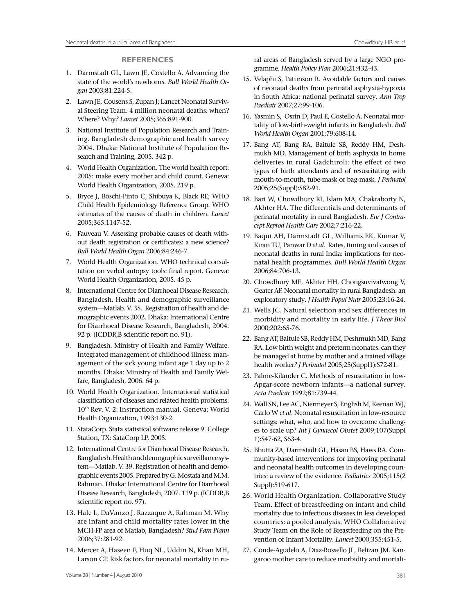#### **REFERENCES**

- 1. Darmstadt GL, Lawn JE, Costello A. Advancing the state of the world's newborns*. Bull World Health Organ* 2003;81:224-5.
- 2. Lawn JE, Cousens S, Zupan J; Lancet Neonatal Survival Steering Team. 4 million neonatal deaths: when? Where? Why*? Lancet* 2005;365:891-900.
- 3. National Institute of Population Research and Training. Bangladesh demographic and health survey 2004. Dhaka: National Institute of Population Research and Training, 2005. 342 p.
- 4. World Health Organization. The world health report: 2005: make every mother and child count. Geneva: World Health Organization, 2005. 219 p.
- 5. Bryce J, Boschi-Pinto C, Shibuya K, Black RE; WHO Child Health Epidemiology Reference Group. WHO estimates of the causes of death in children*. Lancet* 2005;365:1147-52.
- 6. Fauveau V. Assessing probable causes of death without death registration or certificates: a new science? *Bull World Health Organ* 2006;84:246-7.
- 7. World Health Organization. WHO technical consultation on verbal autopsy tools: final report. Geneva: World Health Organization, 2005. 45 p.
- 8. International Centre for Diarrhoeal Disease Research, Bangladesh. Health and demographic surveillance system—Matlab. V. 35. Registration of health and demographic events 2002. Dhaka: International Centre for Diarrhoeal Disease Research, Bangladesh, 2004. 92 p. (ICDDR,B scientific report no. 91).
- 9. Bangladesh. Ministry of Health and Family Welfare. Integrated management of childhood illness: management of the sick young infant age 1 day up to 2 months. Dhaka: Ministry of Health and Family Welfare, Bangladesh, 2006. 64 p.
- 10. World Health Organization. International statistical classification of diseases and related health problems*.*  10th Rev. V. 2: Instruction manual. Geneva: World Health Organization, 1993:130-2.
- 11. StataCorp. Stata statistical software: release 9. College Station, TX: SataCorp LP, 2005.
- 12. International Centre for Diarrhoeal Disease Research, Bangladesh. Health and demographic surveillance system—Matlab. V. 39. Registration of health and demographic events 2005. Prepared by G. Mostafa and M.M. Rahman. Dhaka: International Centre for Diarrhoeal Disease Research, Bangladesh, 2007. 119 p. (ICDDR,B scientific report no. 97).
- 13. Hale L, DaVanzo J, Razzaque A, Rahman M. Why are infant and child mortality rates lower in the MCH-FP area of Matlab, Bangladesh? *Stud Fam Plann* 2006;37:281-92.
- 14. Mercer A, Haseen F, Huq NL, Uddin N, Khan MH, Larson CP. Risk factors for neonatal mortality in ru-

ral areas of Bangladesh served by a large NGO programme*. Health Policy Plan* 2006;21:432-43.

- 15. Velaphi S, Pattinson R. Avoidable factors and causes of neonatal deaths from perinatal asphyxia-hypoxia in South Africa: national perinatal survey*. Ann Trop Paediatr* 2007;27:99-106.
- 16. Yasmin S, Osrin D, Paul E, Costello A. Neonatal mortality of low-birth-weight infants in Bangladesh*. Bull World Health Organ* 2001;79:608-14.
- 17. Bang AT, Bang RA, Baitule SB, Reddy HM, Deshmukh MD. Management of birth asphyxia in home deliveries in rural Gadchiroli: the effect of two types of birth attendants and of resuscitating with mouth-to-mouth, tube-mask or bag-mask*. J Perinatol* 2005;25(Suppl):S82-91.
- 18. Bari W, Chowdhury RI, Islam MA, Chakraborty N, Akhter HA. The differentials and determinants of perinatal mortality in rural Bangladesh*. Eur J Contracept Reprod Health Care* 2002;7:216-22.
- 19. Baqui AH, Darmstadt GL, Williams EK, Kumar V, Kiran TU, Panwar D *et al*. Rates, timing and causes of neonatal deaths in rural India: implications for neonatal health programmes*. Bull World Health Organ* 2006;84:706-13.
- 20. Chowdhury ME, Akhter HH, Chongsuvivatwong V, Geater AF. Neonatal mortality in rural Bangladesh: an exploratory study*. J Health Popul Nutr* 2005;23:16-24.
- 21. Wells JC. Natural selection and sex differences in morbidity and mortality in early life. *J Theor Biol* 2000;202:65-76.
- 22. Bang AT, Baitule SB, Reddy HM, Deshmukh MD, Bang RA. Low birth weight and preterm neonates: can they be managed at home by mother and a trained village health worker*? J Perinatol* 2005;25(Suppl1):S72-81.
- 23. Palme-Kilander C. Methods of resuscitation in low-Apgar-score newborn infants—a national survey*. Acta Paediatr* 1992;81:739-44.
- 24. Wall SN, Lee AC, Niermeyer S, English M, Keenan WJ, Carlo W *et al*. Neonatal resuscitation in low-resource settings: what, who, and how to overcome challenges to scale up? *Int J Gynaecol Obstet* 2009;107(Suppl 1):S47-62, S63-4.
- 25. Bhutta ZA, Darmstadt GL, Hasan BS, Haws RA. Community-based interventions for improving perinatal and neonatal health outcomes in developing countries: a review of the evidence*. Pediatrics* 2005;115(2 Suppl):519-617.
- 26. World Health Organization. Collaborative Study Team. Effect of breastfeeding on infant and child mortality due to infectious diseases in less developed countries: a pooled analysis. WHO Collaborative Study Team on the Role of Breastfeeding on the Prevention of Infant Mortality*. Lancet* 2000;355:451-5.
- 27. Conde-Agudelo A, Diaz-Rossello JL, Belizan JM. Kangaroo mother care to reduce morbidity and mortali-